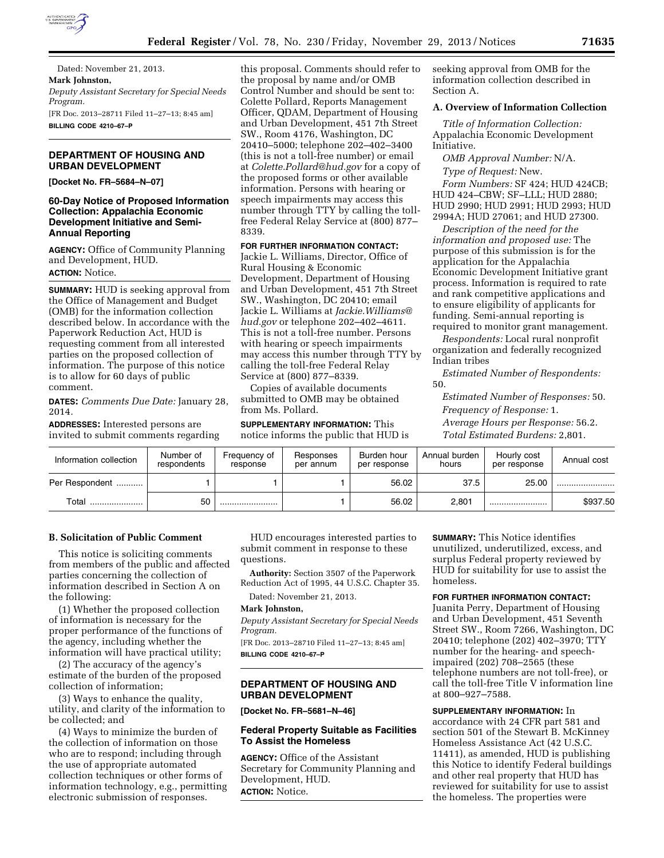

Dated: November 21, 2013. **Mark Johnston,**  *Deputy Assistant Secretary for Special Needs Program.*  [FR Doc. 2013–28711 Filed 11–27–13; 8:45 am] **BILLING CODE 4210–67–P** 

## **DEPARTMENT OF HOUSING AND URBAN DEVELOPMENT**

**[Docket No. FR–5684–N–07]** 

## **60-Day Notice of Proposed Information Collection: Appalachia Economic Development Initiative and Semi-Annual Reporting**

**AGENCY:** Office of Community Planning and Development, HUD. **ACTION:** Notice.

**SUMMARY:** HUD is seeking approval from the Office of Management and Budget (OMB) for the information collection described below. In accordance with the Paperwork Reduction Act, HUD is requesting comment from all interested parties on the proposed collection of information. The purpose of this notice is to allow for 60 days of public comment.

**DATES:** *Comments Due Date:* January 28, 2014*.* 

**ADDRESSES:** Interested persons are invited to submit comments regarding this proposal. Comments should refer to the proposal by name and/or OMB Control Number and should be sent to: Colette Pollard, Reports Management Officer, QDAM, Department of Housing and Urban Development, 451 7th Street SW., Room 4176, Washington, DC 20410–5000; telephone 202–402–3400 (this is not a toll-free number) or email at *[Colette.Pollard@hud.gov](mailto:Colette.Pollard@hud.gov)* for a copy of the proposed forms or other available information. Persons with hearing or speech impairments may access this number through TTY by calling the tollfree Federal Relay Service at (800) 877– 8339.

#### **FOR FURTHER INFORMATION CONTACT:**

Jackie L. Williams, Director, Office of Rural Housing & Economic Development, Department of Housing and Urban Development, 451 7th Street SW., Washington, DC 20410; email Jackie L. Williams at *[Jackie.Williams@](mailto:Jackie.Williams@hud.gov) [hud.gov](mailto:Jackie.Williams@hud.gov)* or telephone 202–402–4611. This is not a toll-free number. Persons with hearing or speech impairments may access this number through TTY by calling the toll-free Federal Relay Service at (800) 877–8339.

Copies of available documents submitted to OMB may be obtained from Ms. Pollard.

**SUPPLEMENTARY INFORMATION:** This notice informs the public that HUD is seeking approval from OMB for the information collection described in Section A.

## **A. Overview of Information Collection**

*Title of Information Collection:*  Appalachia Economic Development Initiative.

*OMB Approval Number:* N/A. *Type of Request:* New.

*Form Numbers:* SF 424; HUD 424CB; HUD 424–CBW; SF–LLL; HUD 2880; HUD 2990; HUD 2991; HUD 2993; HUD 2994A; HUD 27061; and HUD 27300.

*Description of the need for the information and proposed use:* The purpose of this submission is for the application for the Appalachia Economic Development Initiative grant process. Information is required to rate and rank competitive applications and to ensure eligibility of applicants for funding. Semi-annual reporting is required to monitor grant management.

*Respondents:* Local rural nonprofit organization and federally recognized Indian tribes

*Estimated Number of Respondents:*  50.

*Estimated Number of Responses:* 50. *Frequency of Response:* 1. *Average Hours per Response:* 56.2.

*Total Estimated Burdens:* 2,801.

| Information collection | Number of<br>respondents | Frequency of<br>response | Responses<br>per annum | Burden hour<br>per response | Annual burden<br>hours | Hourly cost<br>per response | Annual cost |
|------------------------|--------------------------|--------------------------|------------------------|-----------------------------|------------------------|-----------------------------|-------------|
| Per Respondent         |                          |                          |                        | 56.02                       | 37.5                   | 25.00                       |             |
| Total                  | 50                       |                          |                        | 56.02                       | 2,801                  |                             | \$937.50    |

## **B. Solicitation of Public Comment**

This notice is soliciting comments from members of the public and affected parties concerning the collection of information described in Section A on the following:

(1) Whether the proposed collection of information is necessary for the proper performance of the functions of the agency, including whether the information will have practical utility;

(2) The accuracy of the agency's estimate of the burden of the proposed collection of information;

(3) Ways to enhance the quality, utility, and clarity of the information to be collected; and

(4) Ways to minimize the burden of the collection of information on those who are to respond; including through the use of appropriate automated collection techniques or other forms of information technology, e.g., permitting electronic submission of responses.

HUD encourages interested parties to submit comment in response to these questions.

**Authority:** Section 3507 of the Paperwork Reduction Act of 1995, 44 U.S.C. Chapter 35.

Dated: November 21, 2013.

#### **Mark Johnston,**

*Deputy Assistant Secretary for Special Needs Program.* 

[FR Doc. 2013–28710 Filed 11–27–13; 8:45 am] **BILLING CODE 4210–67–P** 

## **DEPARTMENT OF HOUSING AND URBAN DEVELOPMENT**

**[Docket No. FR–5681–N–46]** 

### **Federal Property Suitable as Facilities To Assist the Homeless**

**AGENCY:** Office of the Assistant Secretary for Community Planning and Development, HUD. **ACTION:** Notice.

**SUMMARY:** This Notice identifies unutilized, underutilized, excess, and surplus Federal property reviewed by HUD for suitability for use to assist the homeless.

### **FOR FURTHER INFORMATION CONTACT:**

Juanita Perry, Department of Housing and Urban Development, 451 Seventh Street SW., Room 7266, Washington, DC 20410; telephone (202) 402–3970; TTY number for the hearing- and speechimpaired (202) 708–2565 (these telephone numbers are not toll-free), or call the toll-free Title V information line at 800–927–7588.

#### **SUPPLEMENTARY INFORMATION:** In

accordance with 24 CFR part 581 and section 501 of the Stewart B. McKinney Homeless Assistance Act (42 U.S.C. 11411), as amended, HUD is publishing this Notice to identify Federal buildings and other real property that HUD has reviewed for suitability for use to assist the homeless. The properties were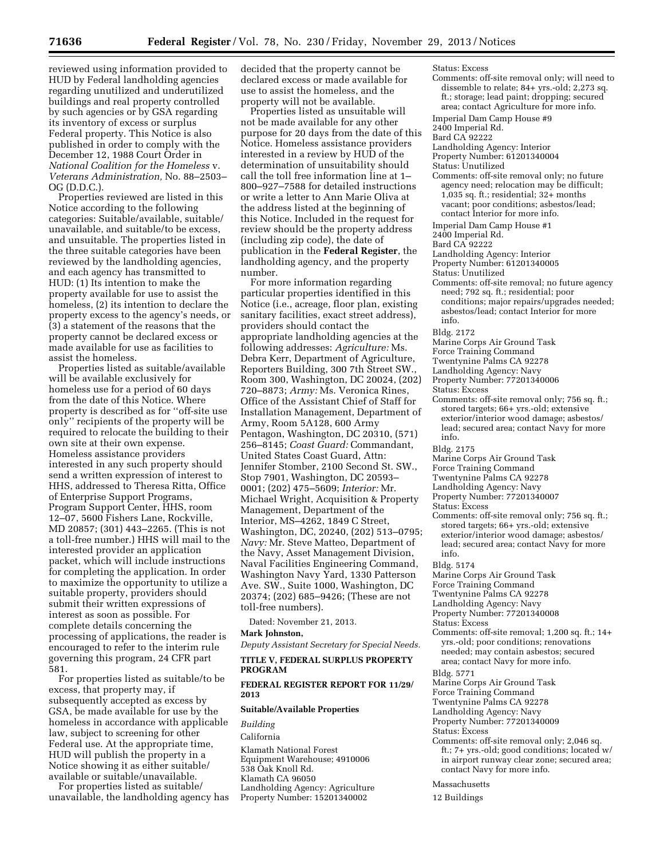reviewed using information provided to HUD by Federal landholding agencies regarding unutilized and underutilized buildings and real property controlled by such agencies or by GSA regarding its inventory of excess or surplus Federal property. This Notice is also published in order to comply with the December 12, 1988 Court Order in *National Coalition for the Homeless* v. *Veterans Administration,* No. 88–2503– OG (D.D.C.).

Properties reviewed are listed in this Notice according to the following categories: Suitable/available, suitable/ unavailable, and suitable/to be excess, and unsuitable. The properties listed in the three suitable categories have been reviewed by the landholding agencies, and each agency has transmitted to HUD: (1) Its intention to make the property available for use to assist the homeless, (2) its intention to declare the property excess to the agency's needs, or (3) a statement of the reasons that the property cannot be declared excess or made available for use as facilities to assist the homeless.

Properties listed as suitable/available will be available exclusively for homeless use for a period of 60 days from the date of this Notice. Where property is described as for ''off-site use only'' recipients of the property will be required to relocate the building to their own site at their own expense. Homeless assistance providers interested in any such property should send a written expression of interest to HHS, addressed to Theresa Ritta, Office of Enterprise Support Programs, Program Support Center, HHS, room 12–07, 5600 Fishers Lane, Rockville, MD 20857; (301) 443–2265. (This is not a toll-free number.) HHS will mail to the interested provider an application packet, which will include instructions for completing the application. In order to maximize the opportunity to utilize a suitable property, providers should submit their written expressions of interest as soon as possible. For complete details concerning the processing of applications, the reader is encouraged to refer to the interim rule governing this program, 24 CFR part 581.

For properties listed as suitable/to be excess, that property may, if subsequently accepted as excess by GSA, be made available for use by the homeless in accordance with applicable law, subject to screening for other Federal use. At the appropriate time, HUD will publish the property in a Notice showing it as either suitable/ available or suitable/unavailable.

For properties listed as suitable/ unavailable, the landholding agency has decided that the property cannot be declared excess or made available for use to assist the homeless, and the property will not be available.

Properties listed as unsuitable will not be made available for any other purpose for 20 days from the date of this Notice. Homeless assistance providers interested in a review by HUD of the determination of unsuitability should call the toll free information line at 1– 800–927–7588 for detailed instructions or write a letter to Ann Marie Oliva at the address listed at the beginning of this Notice. Included in the request for review should be the property address (including zip code), the date of publication in the **Federal Register**, the landholding agency, and the property number.

For more information regarding particular properties identified in this Notice (i.e., acreage, floor plan, existing sanitary facilities, exact street address), providers should contact the appropriate landholding agencies at the following addresses: *Agriculture:* Ms. Debra Kerr, Department of Agriculture, Reporters Building, 300 7th Street SW., Room 300, Washington, DC 20024, (202) 720–8873; *Army:* Ms. Veronica Rines, Office of the Assistant Chief of Staff for Installation Management, Department of Army, Room 5A128, 600 Army Pentagon, Washington, DC 20310, (571) 256–8145; *Coast Guard:* Commandant, United States Coast Guard, Attn: Jennifer Stomber, 2100 Second St. SW., Stop 7901, Washington, DC 20593– 0001; (202) 475–5609; *Interior:* Mr. Michael Wright, Acquisition & Property Management, Department of the Interior, MS–4262, 1849 C Street, Washington, DC, 20240, (202) 513–0795; *Navy:* Mr. Steve Matteo, Department of the Navy, Asset Management Division, Naval Facilities Engineering Command, Washington Navy Yard, 1330 Patterson Ave. SW., Suite 1000, Washington, DC 20374; (202) 685–9426; (These are not toll-free numbers).

Dated: November 21, 2013.

## **Mark Johnston,**

*Deputy Assistant Secretary for Special Needs.* 

### **TITLE V, FEDERAL SURPLUS PROPERTY PROGRAM**

### **FEDERAL REGISTER REPORT FOR 11/29/ 2013**

#### **Suitable/Available Properties**

*Building* 

#### California

Klamath National Forest Equipment Warehouse; 4910006 538 Oak Knoll Rd. Klamath CA 96050 Landholding Agency: Agriculture Property Number: 15201340002

Status: Excess Comments: off-site removal only; will need to dissemble to relate; 84+ yrs.-old; 2,273 sq. ft.; storage; lead paint; dropping; secured area; contact Agriculture for more info.

- Imperial Dam Camp House #9
- 2400 Imperial Rd.
- Bard CA 92222
- Landholding Agency: Interior
- Property Number: 61201340004
- Status: Unutilized
- Comments: off-site removal only; no future agency need; relocation may be difficult;  $1,035$  sq. ft.; residential;  $32 +$  months vacant; poor conditions; asbestos/lead; contact Interior for more info.
- Imperial Dam Camp House #1
- 2400 Imperial Rd.
- Bard CA 92222
- Landholding Agency: Interior
- Property Number: 61201340005
- Status: Unutilized
- Comments: off-site removal; no future agency need; 792 sq. ft.; residential; poor conditions; major repairs/upgrades needed; asbestos/lead; contact Interior for more info.

Bldg. 2172

- Marine Corps Air Ground Task
- Force Training Command
- Twentynine Palms CA 92278
- Landholding Agency: Navy
- Property Number: 77201340006
- Status: Excess
- Comments: off-site removal only; 756 sq. ft.; stored targets; 66+ yrs.-old; extensive exterior/interior wood damage; asbestos/ lead; secured area; contact Navy for more info.

Bldg. 2175

- Marine Corps Air Ground Task
- Force Training Command
- Twentynine Palms CA 92278
- Landholding Agency: Navy
- Property Number: 77201340007
- Status: Excess
- Comments: off-site removal only; 756 sq. ft.; stored targets; 66+ yrs.-old; extensive exterior/interior wood damage; asbestos/ lead; secured area; contact Navy for more info.

Bldg. 5174

- Marine Corps Air Ground Task
- Force Training Command
- Twentynine Palms CA 92278
- Landholding Agency: Navy
- Property Number: 77201340008

- Status: Excess
- Comments: off-site removal; 1,200 sq. ft.; 14+ yrs.-old; poor conditions; renovations needed; may contain asbestos; secured
- area; contact Navy for more info.
- Bldg. 5771
- Marine Corps Air Ground Task
- Force Training Command
- Twentynine Palms CA 92278
- Landholding Agency: Navy
- Property Number: 77201340009

Status: Excess

- Comments: off-site removal only; 2,046 sq. ft.; 7+ yrs.-old; good conditions; located w/ in airport runway clear zone; secured area; contact Navy for more info.
- Massachusetts
- 12 Buildings